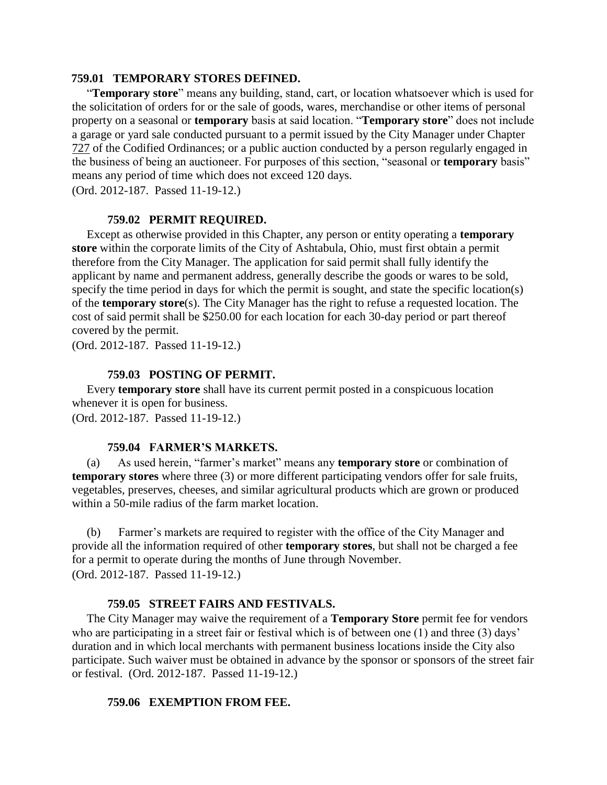## **759.01 TEMPORARY STORES DEFINED.**

"**Temporary store**" means any building, stand, cart, or location whatsoever which is used for the solicitation of orders for or the sale of goods, wares, merchandise or other items of personal property on a seasonal or **temporary** basis at said location. "**Temporary store**" does not include a garage or yard sale conducted pursuant to a permit issued by the City Manager under Chapter [727](http://www.conwaygreene.com/Ashtabula/lpext.dll?f=FifLink&t=document-frame.htm&l=jump&iid=71ee5c8f.609e88be.0.0&nid=775#JD_727) of the Codified Ordinances; or a public auction conducted by a person regularly engaged in the business of being an auctioneer. For purposes of this section, "seasonal or **temporary** basis" means any period of time which does not exceed 120 days.

(Ord. 2012-187. Passed 11-19-12.)

#### **759.02 PERMIT REQUIRED.**

Except as otherwise provided in this Chapter, any person or entity operating a **temporary store** within the corporate limits of the City of Ashtabula, Ohio, must first obtain a permit therefore from the City Manager. The application for said permit shall fully identify the applicant by name and permanent address, generally describe the goods or wares to be sold, specify the time period in days for which the permit is sought, and state the specific location(s) of the **temporary store**(s). The City Manager has the right to refuse a requested location. The cost of said permit shall be \$250.00 for each location for each 30-day period or part thereof covered by the permit.

(Ord. 2012-187. Passed 11-19-12.)

## **759.03 POSTING OF PERMIT.**

Every **temporary store** shall have its current permit posted in a conspicuous location whenever it is open for business.

(Ord. 2012-187. Passed 11-19-12.)

#### **759.04 FARMER'S MARKETS.**

(a) As used herein, "farmer's market" means any **temporary store** or combination of **temporary stores** where three (3) or more different participating vendors offer for sale fruits, vegetables, preserves, cheeses, and similar agricultural products which are grown or produced within a 50-mile radius of the farm market location.

(b) Farmer's markets are required to register with the office of the City Manager and provide all the information required of other **temporary stores**, but shall not be charged a fee for a permit to operate during the months of June through November. (Ord. 2012-187. Passed 11-19-12.)

## **759.05 STREET FAIRS AND FESTIVALS.**

The City Manager may waive the requirement of a **Temporary Store** permit fee for vendors who are participating in a street fair or festival which is of between one (1) and three (3) days' duration and in which local merchants with permanent business locations inside the City also participate. Such waiver must be obtained in advance by the sponsor or sponsors of the street fair or festival. (Ord. 2012-187. Passed 11-19-12.)

#### **759.06 EXEMPTION FROM FEE.**